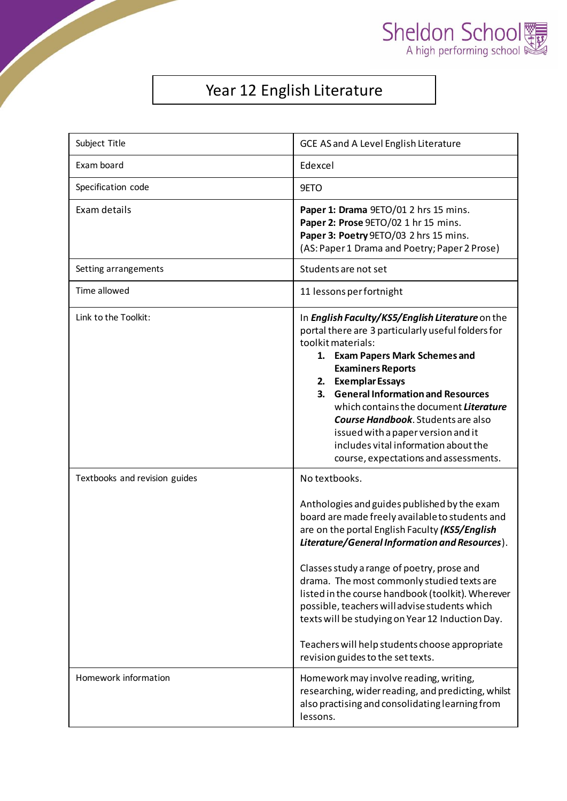



## Year 12 English Literature

| Subject Title                 | GCE AS and A Level English Literature                                                                                                                                                                                                                                                                                                                                                                                                                                                                                                                             |
|-------------------------------|-------------------------------------------------------------------------------------------------------------------------------------------------------------------------------------------------------------------------------------------------------------------------------------------------------------------------------------------------------------------------------------------------------------------------------------------------------------------------------------------------------------------------------------------------------------------|
| Exam board                    | Edexcel                                                                                                                                                                                                                                                                                                                                                                                                                                                                                                                                                           |
| Specification code            | 9ETO                                                                                                                                                                                                                                                                                                                                                                                                                                                                                                                                                              |
| Exam details                  | Paper 1: Drama 9ETO/01 2 hrs 15 mins.<br>Paper 2: Prose 9ETO/02 1 hr 15 mins.<br>Paper 3: Poetry 9ETO/03 2 hrs 15 mins.<br>(AS: Paper 1 Drama and Poetry; Paper 2 Prose)                                                                                                                                                                                                                                                                                                                                                                                          |
| Setting arrangements          | Students are not set                                                                                                                                                                                                                                                                                                                                                                                                                                                                                                                                              |
| Time allowed                  | 11 lessons per fortnight                                                                                                                                                                                                                                                                                                                                                                                                                                                                                                                                          |
| Link to the Toolkit:          | In English Faculty/KS5/English Literature on the<br>portal there are 3 particularly useful folders for<br>toolkit materials:<br>1. Exam Papers Mark Schemes and<br><b>Examiners Reports</b><br>2. Exemplar Essays<br>3. General Information and Resources<br>which contains the document Literature<br><b>Course Handbook.</b> Students are also<br>issued with a paper version and it<br>includes vital information about the<br>course, expectations and assessments.                                                                                           |
| Textbooks and revision guides | No textbooks.<br>Anthologies and guides published by the exam<br>board are made freely available to students and<br>are on the portal English Faculty (KS5/English<br>Literature/General Information and Resources).<br>Classes study a range of poetry, prose and<br>drama. The most commonly studied texts are<br>listed in the course handbook (toolkit). Wherever<br>possible, teachers will advise students which<br>texts will be studying on Year 12 Induction Day.<br>Teachers will help students choose appropriate<br>revision guides to the set texts. |
| Homework information          | Homework may involve reading, writing,<br>researching, wider reading, and predicting, whilst<br>also practising and consolidating learning from<br>lessons.                                                                                                                                                                                                                                                                                                                                                                                                       |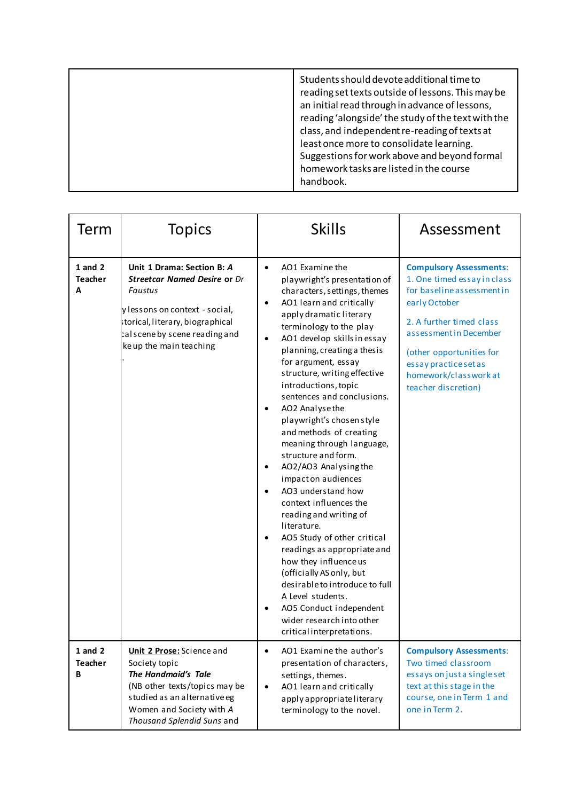|  | Students should devote additional time to<br>reading set texts outside of lessons. This may be<br>an initial read through in advance of lessons,<br>reading 'alongside' the study of the text with the<br>class, and independent re-reading of texts at<br>least once more to consolidate learning.<br>Suggestions for work above and beyond formal<br>homework tasks are listed in the course<br>handbook. |
|--|-------------------------------------------------------------------------------------------------------------------------------------------------------------------------------------------------------------------------------------------------------------------------------------------------------------------------------------------------------------------------------------------------------------|
|--|-------------------------------------------------------------------------------------------------------------------------------------------------------------------------------------------------------------------------------------------------------------------------------------------------------------------------------------------------------------------------------------------------------------|

| Term                               | <b>Topics</b>                                                                                                                                                                                                   | <b>Skills</b>                                                                                                                                                                                                                                                                                                                                                                                                                                                                                                                                                                                                                                                                                                                                                                                                                                                                                                                                                                              | Assessment                                                                                                                                                                                                                                                              |
|------------------------------------|-----------------------------------------------------------------------------------------------------------------------------------------------------------------------------------------------------------------|--------------------------------------------------------------------------------------------------------------------------------------------------------------------------------------------------------------------------------------------------------------------------------------------------------------------------------------------------------------------------------------------------------------------------------------------------------------------------------------------------------------------------------------------------------------------------------------------------------------------------------------------------------------------------------------------------------------------------------------------------------------------------------------------------------------------------------------------------------------------------------------------------------------------------------------------------------------------------------------------|-------------------------------------------------------------------------------------------------------------------------------------------------------------------------------------------------------------------------------------------------------------------------|
| $1$ and $2$<br><b>Teacher</b><br>A | Unit 1 Drama: Section B: A<br><b>Streetcar Named Desire or Dr</b><br>Faustus<br>y lessons on context - social,<br>storical, literary, biographical<br>cal scene by scene reading and<br>ke up the main teaching | AO1 Examine the<br>$\bullet$<br>playwright's presentation of<br>characters, settings, themes<br>AO1 learn and critically<br>$\bullet$<br>apply dramatic literary<br>terminology to the play<br>AO1 develop skills in essay<br>$\bullet$<br>planning, creating a thesis<br>for argument, essay<br>structure, writing effective<br>introductions, topic<br>sentences and conclusions.<br>AO2 Analysethe<br>$\bullet$<br>playwright's chosen style<br>and methods of creating<br>meaning through language,<br>structure and form.<br>AO2/AO3 Analysing the<br>$\bullet$<br>impact on audiences<br>AO3 understand how<br>$\bullet$<br>context influences the<br>reading and writing of<br>literature.<br>AO5 Study of other critical<br>$\bullet$<br>readings as appropriate and<br>how they influence us<br>(officially AS only, but<br>desirable to introduce to full<br>A Level students.<br>AO5 Conduct independent<br>$\bullet$<br>wider research into other<br>critical interpretations. | <b>Compulsory Assessments:</b><br>1. One timed essay in class<br>for baseline assessment in<br>early October<br>2. A further timed class<br>assessment in December<br>(other opportunities for<br>essay practice set as<br>homework/classwork at<br>teacher discretion) |
| $1$ and $2$<br><b>Teacher</b><br>B | Unit 2 Prose: Science and<br>Society topic<br>The Handmaid's Tale<br>(NB other texts/topics may be<br>studied as an alternative eg<br>Women and Society with A<br>Thousand Splendid Suns and                    | AO1 Examine the author's<br>$\bullet$<br>presentation of characters,<br>settings, themes.<br>AO1 learn and critically<br>$\bullet$<br>apply appropriate literary<br>terminology to the novel.                                                                                                                                                                                                                                                                                                                                                                                                                                                                                                                                                                                                                                                                                                                                                                                              | <b>Compulsory Assessments:</b><br>Two timed classroom<br>essays on just a single set<br>text at this stage in the<br>course, one in Term 1 and<br>one in Term 2.                                                                                                        |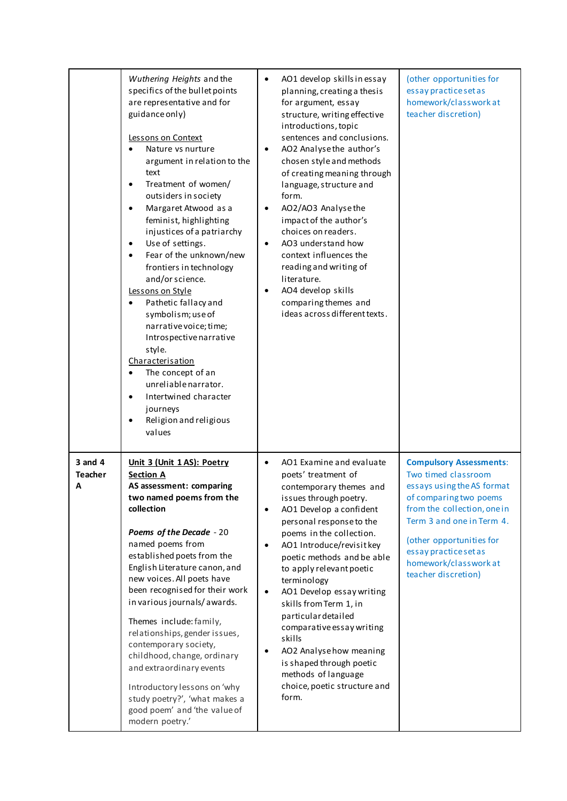|                                    | Wuthering Heights and the<br>specifics of the bullet points<br>are representative and for<br>guidance only)<br>Lessons on Context<br>Nature vs nurture<br>argument in relation to the<br>text<br>Treatment of women/<br>$\bullet$<br>outsiders in society<br>Margaret Atwood as a<br>$\bullet$<br>feminist, highlighting<br>injustices of a patriarchy<br>Use of settings.<br>٠<br>Fear of the unknown/new<br>frontiers in technology<br>and/or science.<br>Lessons on Style<br>Pathetic fallacy and<br>symbolism; use of<br>narrative voice; time;<br>Introspective narrative<br>style.<br>Characterisation<br>The concept of an<br>$\bullet$<br>unreliable narrator.<br>Intertwined character<br>journeys<br>Religion and religious<br>values | $\bullet$<br>٠<br>$\bullet$<br>$\bullet$<br>$\bullet$         | AO1 develop skills in essay<br>planning, creating a thesis<br>for argument, essay<br>structure, writing effective<br>introductions, topic<br>sentences and conclusions.<br>AO2 Analyse the author's<br>chosen style and methods<br>of creating meaning through<br>language, structure and<br>form.<br>AO2/AO3 Analysethe<br>impact of the author's<br>choices on readers.<br>AO3 understand how<br>context influences the<br>reading and writing of<br>literature.<br>AO4 develop skills<br>comparing themes and<br>ideas across different texts. | (other opportunities for<br>essay practice set as<br>homework/classwork at<br>teacher discretion)                                                                                                                                                                             |
|------------------------------------|-------------------------------------------------------------------------------------------------------------------------------------------------------------------------------------------------------------------------------------------------------------------------------------------------------------------------------------------------------------------------------------------------------------------------------------------------------------------------------------------------------------------------------------------------------------------------------------------------------------------------------------------------------------------------------------------------------------------------------------------------|---------------------------------------------------------------|---------------------------------------------------------------------------------------------------------------------------------------------------------------------------------------------------------------------------------------------------------------------------------------------------------------------------------------------------------------------------------------------------------------------------------------------------------------------------------------------------------------------------------------------------|-------------------------------------------------------------------------------------------------------------------------------------------------------------------------------------------------------------------------------------------------------------------------------|
| $3$ and $4$<br><b>Teacher</b><br>А | Unit 3 (Unit 1 AS): Poetry<br><b>Section A</b><br>AS assessment: comparing<br>two named poems from the<br>collection<br>Poems of the Decade - 20<br>named poems from<br>established poets from the<br>English Literature canon, and<br>new voices. All poets have<br>been recognised for their work<br>in various journals/awards.<br>Themes include: family,<br>relationships, gender issues,<br>contemporary society,<br>childhood, change, ordinary<br>and extraordinary events<br>Introductory lessons on 'why<br>study poetry?', 'what makes a<br>good poem' and 'the value of<br>modern poetry.'                                                                                                                                          | $\bullet$<br>$\bullet$<br>$\bullet$<br>$\bullet$<br>$\bullet$ | AO1 Examine and evaluate<br>poets' treatment of<br>contemporary themes and<br>issues through poetry.<br>AO1 Develop a confident<br>personal response to the<br>poems in the collection.<br>AO1 Introduce/revisit key<br>poetic methods and be able<br>to apply relevant poetic<br>terminology<br>AO1 Develop essay writing<br>skills from Term 1, in<br>particular detailed<br>comparative essay writing<br>skills<br>AO2 Analyse how meaning<br>is shaped through poetic<br>methods of language<br>choice, poetic structure and<br>form.         | <b>Compulsory Assessments:</b><br>Two timed classroom<br>essays using the AS format<br>of comparing two poems<br>from the collection, one in<br>Term 3 and one in Term 4.<br>(other opportunities for<br>essay practice set as<br>homework/classworkat<br>teacher discretion) |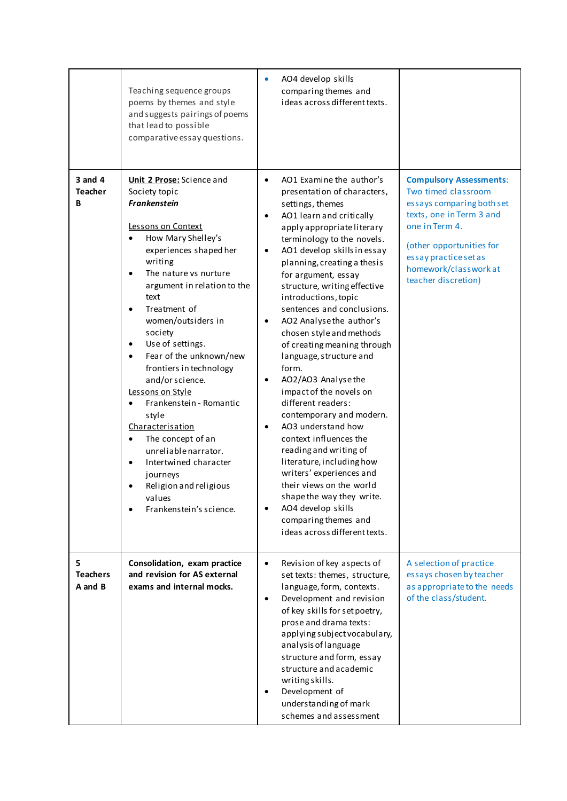|                                 | Teaching sequence groups<br>poems by themes and style<br>and suggests pairings of poems<br>that lead to possible<br>comparative essay questions.                                                                                                                                                                                                                                                                                                                                                                                                                                                                                                                                   | AO4 develop skills<br>comparing themes and<br>ideas across different texts.                                                                                                                                                                                                                                                                                                                                                                                                                                                                                                                                                                                                                                                                                                                                                                                          |                                                                                                                                                                                                                                      |
|---------------------------------|------------------------------------------------------------------------------------------------------------------------------------------------------------------------------------------------------------------------------------------------------------------------------------------------------------------------------------------------------------------------------------------------------------------------------------------------------------------------------------------------------------------------------------------------------------------------------------------------------------------------------------------------------------------------------------|----------------------------------------------------------------------------------------------------------------------------------------------------------------------------------------------------------------------------------------------------------------------------------------------------------------------------------------------------------------------------------------------------------------------------------------------------------------------------------------------------------------------------------------------------------------------------------------------------------------------------------------------------------------------------------------------------------------------------------------------------------------------------------------------------------------------------------------------------------------------|--------------------------------------------------------------------------------------------------------------------------------------------------------------------------------------------------------------------------------------|
| 3 and 4<br><b>Teacher</b><br>В  | <b>Unit 2 Prose:</b> Science and<br>Society topic<br><b>Frankenstein</b><br>Lessons on Context<br>How Mary Shelley's<br>experiences shaped her<br>writing<br>The nature vs nurture<br>argument in relation to the<br>text<br>Treatment of<br>$\bullet$<br>women/outsiders in<br>society<br>Use of settings.<br>$\bullet$<br>Fear of the unknown/new<br>$\bullet$<br>frontiers in technology<br>and/or science.<br>Lessons on Style<br>Frankenstein - Romantic<br>style<br>Characterisation<br>The concept of an<br>$\bullet$<br>unreliable narrator.<br>Intertwined character<br>$\bullet$<br>journeys<br>Religion and religious<br>values<br>Frankenstein's science.<br>$\bullet$ | AO1 Examine the author's<br>$\bullet$<br>presentation of characters,<br>settings, themes<br>AO1 learn and critically<br>apply appropriate literary<br>terminology to the novels.<br>AO1 develop skills in essay<br>planning, creating a thesis<br>for argument, essay<br>structure, writing effective<br>introductions, topic<br>sentences and conclusions.<br>AO2 Analyse the author's<br>chosen style and methods<br>of creating meaning through<br>language, structure and<br>form.<br>AO2/AO3 Analysethe<br>impact of the novels on<br>different readers:<br>contemporary and modern.<br>AO3 understand how<br>context influences the<br>reading and writing of<br>literature, including how<br>writers' experiences and<br>their views on the world<br>shape the way they write.<br>AO4 develop skills<br>comparing themes and<br>ideas across different texts. | <b>Compulsory Assessments:</b><br>Two timed classroom<br>essays comparing both set<br>texts, one in Term 3 and<br>one in Term 4.<br>(other opportunities for<br>essay practice set as<br>homework/classworkat<br>teacher discretion) |
| 5<br><b>Teachers</b><br>A and B | Consolidation, exam practice<br>and revision for AS external<br>exams and internal mocks.                                                                                                                                                                                                                                                                                                                                                                                                                                                                                                                                                                                          | Revision of key aspects of<br>$\bullet$<br>set texts: themes, structure,<br>language, form, contexts.<br>Development and revision<br>$\bullet$<br>of key skills for set poetry,<br>prose and drama texts:<br>applying subject vocabulary,<br>analysis of language<br>structure and form, essay<br>structure and academic<br>writing skills.<br>Development of<br>understanding of mark<br>schemes and assessment                                                                                                                                                                                                                                                                                                                                                                                                                                                     | A selection of practice<br>essays chosen by teacher<br>as appropriate to the needs<br>of the class/student.                                                                                                                          |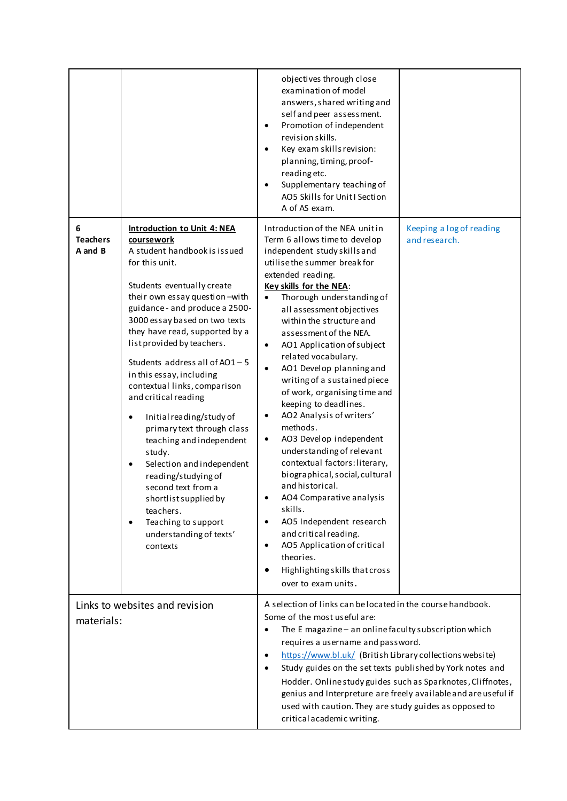|                                 |                                                                                                                                                                                                                                                                                                                                                                                                                                                                                                                                                                                                                                                                                                           | objectives through close<br>examination of model<br>answers, shared writing and<br>self and peer assessment.<br>Promotion of independent<br>$\bullet$<br>revision skills.<br>Key exam skills revision:<br>planning, timing, proof-<br>reading etc.<br>Supplementary teaching of<br>AO5 Skills for Unit I Section<br>A of AS exam.                                                                                                                                                                                                                                                                                                                                                                                                                                                                                                                                                                                                                   |                                           |
|---------------------------------|-----------------------------------------------------------------------------------------------------------------------------------------------------------------------------------------------------------------------------------------------------------------------------------------------------------------------------------------------------------------------------------------------------------------------------------------------------------------------------------------------------------------------------------------------------------------------------------------------------------------------------------------------------------------------------------------------------------|-----------------------------------------------------------------------------------------------------------------------------------------------------------------------------------------------------------------------------------------------------------------------------------------------------------------------------------------------------------------------------------------------------------------------------------------------------------------------------------------------------------------------------------------------------------------------------------------------------------------------------------------------------------------------------------------------------------------------------------------------------------------------------------------------------------------------------------------------------------------------------------------------------------------------------------------------------|-------------------------------------------|
| 6<br><b>Teachers</b><br>A and B | <b>Introduction to Unit 4: NEA</b><br>coursework<br>A student handbook is issued<br>for this unit.<br>Students eventually create<br>their own essay question - with<br>guidance - and produce a 2500-<br>3000 essay based on two texts<br>they have read, supported by a<br>list provided by teachers.<br>Students address all of AO1-5<br>in this essay, including<br>contextual links, comparison<br>and critical reading<br>Initial reading/study of<br>primary text through class<br>teaching and independent<br>study.<br>Selection and independent<br>reading/studying of<br>second text from a<br>shortlist supplied by<br>teachers.<br>Teaching to support<br>understanding of texts'<br>contexts | Introduction of the NEA unitin<br>Term 6 allows time to develop<br>independent study skills and<br>utilise the summer break for<br>extended reading.<br>Key skills for the NEA:<br>Thorough understanding of<br>$\bullet$<br>all assessment objectives<br>within the structure and<br>assessment of the NEA.<br>AO1 Application of subject<br>$\bullet$<br>related vocabulary.<br>AO1 Develop planning and<br>$\bullet$<br>writing of a sustained piece<br>of work, organising time and<br>keeping to deadlines.<br>AO2 Analysis of writers'<br>$\bullet$<br>methods.<br>AO3 Develop independent<br>٠<br>understanding of relevant<br>contextual factors: literary,<br>biographical, social, cultural<br>and historical.<br>AO4 Comparative analysis<br>skills.<br>AO5 Independent research<br>$\bullet$<br>and critical reading.<br>AO5 Application of critical<br>$\bullet$<br>theories.<br>Highlighting skills that cross<br>over to exam units. | Keeping a log of reading<br>and research. |
| materials:                      | Links to websites and revision                                                                                                                                                                                                                                                                                                                                                                                                                                                                                                                                                                                                                                                                            | A selection of links can be located in the course handbook.<br>Some of the most useful are:<br>The E magazine - an online faculty subscription which<br>$\bullet$<br>requires a username and password.<br>https://www.bl.uk/ (British Library collections website)<br>$\bullet$<br>Study guides on the set texts published by York notes and<br>٠<br>Hodder. Online study guides such as Sparknotes, Cliffnotes,<br>genius and Interpreture are freely available and are useful if<br>used with caution. They are study guides as opposed to<br>critical academic writing.                                                                                                                                                                                                                                                                                                                                                                          |                                           |